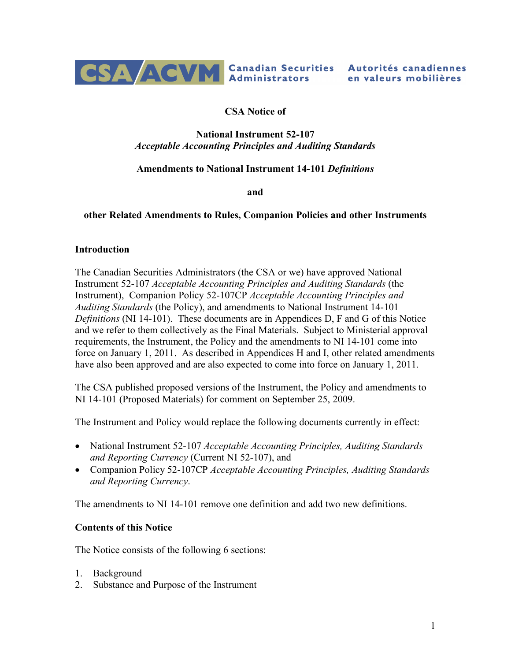

## **CSA Notice of**

#### **National Instrument 52-107** *Acceptable Accounting Principles and Auditing Standards*

## **Amendments to National Instrument 14-101** *Definitions*

**and**

#### **other Related Amendments to Rules, Companion Policies and other Instruments**

#### **Introduction**

The Canadian Securities Administrators (the CSA or we) have approved National Instrument 52-107 *Acceptable Accounting Principles and Auditing Standards* (the Instrument), Companion Policy 52-107CP *Acceptable Accounting Principles and Auditing Standards* (the Policy), and amendments to National Instrument 14-101 *Definitions* (NI 14-101). These documents are in Appendices D, F and G of this Notice and we refer to them collectively as the Final Materials. Subject to Ministerial approval requirements, the Instrument, the Policy and the amendments to NI 14-101 come into force on January 1, 2011. As described in Appendices H and I, other related amendments have also been approved and are also expected to come into force on January 1, 2011.

The CSA published proposed versions of the Instrument, the Policy and amendments to NI 14-101 (Proposed Materials) for comment on September 25, 2009.

The Instrument and Policy would replace the following documents currently in effect:

- · National Instrument 52-107 *Acceptable Accounting Principles, Auditing Standards and Reporting Currency* (Current NI 52-107), and
- · Companion Policy 52-107CP *Acceptable Accounting Principles, Auditing Standards and Reporting Currency*.

The amendments to NI 14-101 remove one definition and add two new definitions.

#### **Contents of this Notice**

The Notice consists of the following 6 sections:

- 1. Background
- 2. Substance and Purpose of the Instrument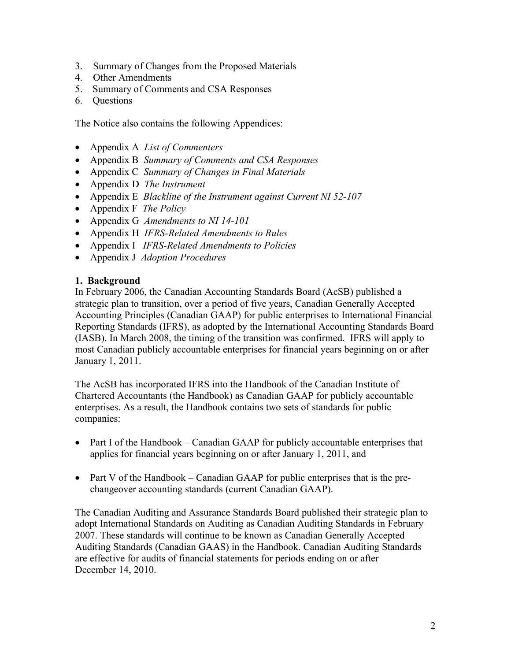- 3. Summary of Changes from the Proposed Materials
- 4. Other Amendments
- 5. Summary of Comments and CSA Responses
- 6. Questions

The Notice also contains the following Appendices:

- · Appendix A *List of Commenters*
- · Appendix B *Summary of Comments and CSA Responses*
- · Appendix C *Summary of Changes in Final Materials*
- · Appendix D *The Instrument*
- · Appendix E *Blackline of the Instrument against Current NI 52-107*
- · Appendix F *The Policy*
- · Appendix G *Amendments to NI 14-101*
- · Appendix H *IFRS-Related Amendments to Rules*
- · Appendix I *IFRS-Related Amendments to Policies*
- · Appendix J *Adoption Procedures*

#### **1. Background**

In February 2006, the Canadian Accounting Standards Board (AcSB) published a strategic plan to transition, over a period of five years, Canadian Generally Accepted Accounting Principles (Canadian GAAP) for public enterprises to International Financial Reporting Standards (IFRS), as adopted by the International Accounting Standards Board (IASB). In March 2008, the timing of the transition was confirmed. IFRS will apply to most Canadian publicly accountable enterprises for financial years beginning on or after January 1, 2011.

The AcSB has incorporated IFRS into the Handbook of the Canadian Institute of Chartered Accountants (the Handbook) as Canadian GAAP for publicly accountable enterprises. As a result, the Handbook contains two sets of standards for public companies:

- Part I of the Handbook Canadian GAAP for publicly accountable enterprises that applies for financial years beginning on or after January 1, 2011, and
- Part V of the Handbook Canadian GAAP for public enterprises that is the prechangeover accounting standards (current Canadian GAAP).

The Canadian Auditing and Assurance Standards Board published their strategic plan to adopt International Standards on Auditing as Canadian Auditing Standards in February 2007. These standards will continue to be known as Canadian Generally Accepted Auditing Standards (Canadian GAAS) in the Handbook. Canadian Auditing Standards are effective for audits of financial statements for periods ending on or after December 14, 2010.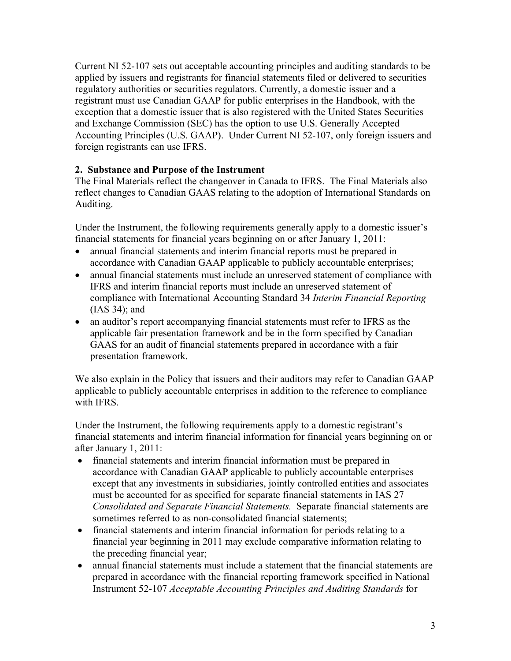Current NI 52-107 sets out acceptable accounting principles and auditing standards to be applied by issuers and registrants for financial statements filed or delivered to securities regulatory authorities or securities regulators. Currently, a domestic issuer and a registrant must use Canadian GAAP for public enterprises in the Handbook, with the exception that a domestic issuer that is also registered with the United States Securities and Exchange Commission (SEC) has the option to use U.S. Generally Accepted Accounting Principles (U.S. GAAP). Under Current NI 52-107, only foreign issuers and foreign registrants can use IFRS.

## **2. Substance and Purpose of the Instrument**

The Final Materials reflect the changeover in Canada to IFRS. The Final Materials also reflect changes to Canadian GAAS relating to the adoption of International Standards on Auditing.

Under the Instrument, the following requirements generally apply to a domestic issuer's financial statements for financial years beginning on or after January 1, 2011:

- annual financial statements and interim financial reports must be prepared in accordance with Canadian GAAP applicable to publicly accountable enterprises;
- annual financial statements must include an unreserved statement of compliance with IFRS and interim financial reports must include an unreserved statement of compliance with International Accounting Standard 34 *Interim Financial Reporting* (IAS 34); and
- an auditor's report accompanying financial statements must refer to IFRS as the applicable fair presentation framework and be in the form specified by Canadian GAAS for an audit of financial statements prepared in accordance with a fair presentation framework.

We also explain in the Policy that issuers and their auditors may refer to Canadian GAAP applicable to publicly accountable enterprises in addition to the reference to compliance with IFRS.

Under the Instrument, the following requirements apply to a domestic registrant's financial statements and interim financial information for financial years beginning on or after January 1, 2011:

- · financial statements and interim financial information must be prepared in accordance with Canadian GAAP applicable to publicly accountable enterprises except that any investments in subsidiaries, jointly controlled entities and associates must be accounted for as specified for separate financial statements in IAS 27 *Consolidated and Separate Financial Statements.* Separate financial statements are sometimes referred to as non-consolidated financial statements;
- · financial statements and interim financial information for periods relating to a financial year beginning in 2011 may exclude comparative information relating to the preceding financial year;
- annual financial statements must include a statement that the financial statements are prepared in accordance with the financial reporting framework specified in National Instrument 52-107 *Acceptable Accounting Principles and Auditing Standards* for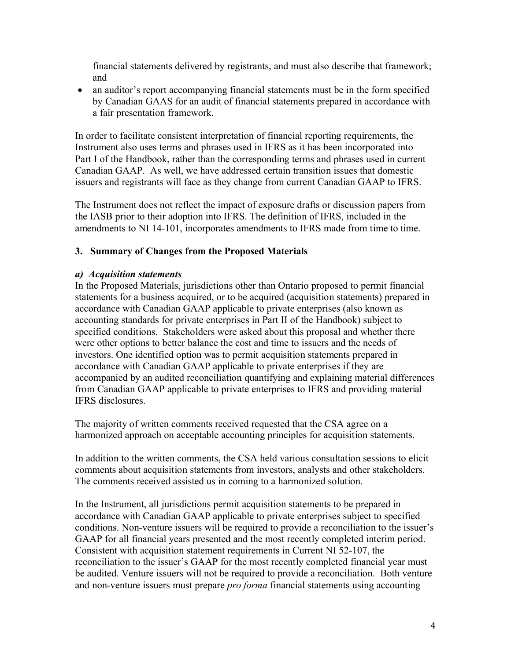financial statements delivered by registrants, and must also describe that framework; and

• an auditor's report accompanying financial statements must be in the form specified by Canadian GAAS for an audit of financial statements prepared in accordance with a fair presentation framework.

In order to facilitate consistent interpretation of financial reporting requirements, the Instrument also uses terms and phrases used in IFRS as it has been incorporated into Part I of the Handbook, rather than the corresponding terms and phrases used in current Canadian GAAP. As well, we have addressed certain transition issues that domestic issuers and registrants will face as they change from current Canadian GAAP to IFRS.

The Instrument does not reflect the impact of exposure drafts or discussion papers from the IASB prior to their adoption into IFRS. The definition of IFRS, included in the amendments to NI 14-101, incorporates amendments to IFRS made from time to time.

## **3. Summary of Changes from the Proposed Materials**

#### *a) Acquisition statements*

In the Proposed Materials, jurisdictions other than Ontario proposed to permit financial statements for a business acquired, or to be acquired (acquisition statements) prepared in accordance with Canadian GAAP applicable to private enterprises (also known as accounting standards for private enterprises in Part II of the Handbook) subject to specified conditions. Stakeholders were asked about this proposal and whether there were other options to better balance the cost and time to issuers and the needs of investors. One identified option was to permit acquisition statements prepared in accordance with Canadian GAAP applicable to private enterprises if they are accompanied by an audited reconciliation quantifying and explaining material differences from Canadian GAAP applicable to private enterprises to IFRS and providing material IFRS disclosures.

The majority of written comments received requested that the CSA agree on a harmonized approach on acceptable accounting principles for acquisition statements.

In addition to the written comments, the CSA held various consultation sessions to elicit comments about acquisition statements from investors, analysts and other stakeholders. The comments received assisted us in coming to a harmonized solution.

In the Instrument, all jurisdictions permit acquisition statements to be prepared in accordance with Canadian GAAP applicable to private enterprises subject to specified conditions. Non-venture issuers will be required to provide a reconciliation to the issuer's GAAP for all financial years presented and the most recently completed interim period. Consistent with acquisition statement requirements in Current NI 52-107, the reconciliation to the issuer's GAAP for the most recently completed financial year must be audited. Venture issuers will not be required to provide a reconciliation. Both venture and non-venture issuers must prepare *pro forma* financial statements using accounting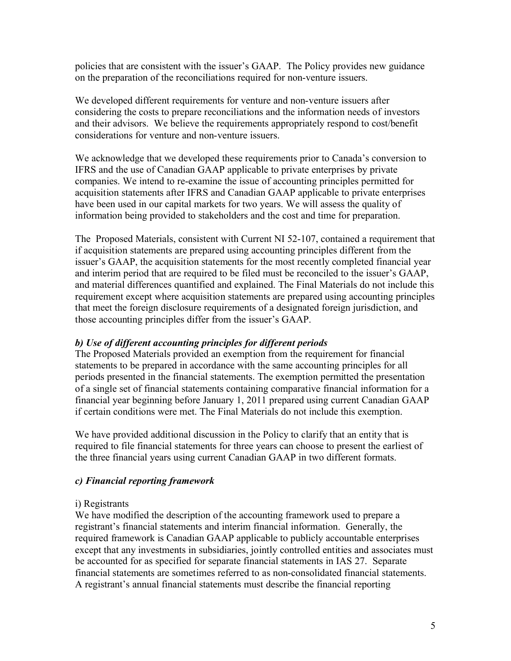policies that are consistent with the issuer's GAAP. The Policy provides new guidance on the preparation of the reconciliations required for non-venture issuers.

We developed different requirements for venture and non-venture issuers after considering the costs to prepare reconciliations and the information needs of investors and their advisors. We believe the requirements appropriately respond to cost/benefit considerations for venture and non-venture issuers.

We acknowledge that we developed these requirements prior to Canada's conversion to IFRS and the use of Canadian GAAP applicable to private enterprises by private companies. We intend to re-examine the issue of accounting principles permitted for acquisition statements after IFRS and Canadian GAAP applicable to private enterprises have been used in our capital markets for two years. We will assess the quality of information being provided to stakeholders and the cost and time for preparation.

The Proposed Materials, consistent with Current NI 52-107, contained a requirement that if acquisition statements are prepared using accounting principles different from the issuer's GAAP, the acquisition statements for the most recently completed financial year and interim period that are required to be filed must be reconciled to the issuer's GAAP, and material differences quantified and explained. The Final Materials do not include this requirement except where acquisition statements are prepared using accounting principles that meet the foreign disclosure requirements of a designated foreign jurisdiction, and those accounting principles differ from the issuer's GAAP.

## *b) Use of different accounting principles for different periods*

The Proposed Materials provided an exemption from the requirement for financial statements to be prepared in accordance with the same accounting principles for all periods presented in the financial statements. The exemption permitted the presentation of a single set of financial statements containing comparative financial information for a financial year beginning before January 1, 2011 prepared using current Canadian GAAP if certain conditions were met. The Final Materials do not include this exemption.

We have provided additional discussion in the Policy to clarify that an entity that is required to file financial statements for three years can choose to present the earliest of the three financial years using current Canadian GAAP in two different formats.

## *c) Financial reporting framework*

## i) Registrants

We have modified the description of the accounting framework used to prepare a registrant's financial statements and interim financial information. Generally, the required framework is Canadian GAAP applicable to publicly accountable enterprises except that any investments in subsidiaries, jointly controlled entities and associates must be accounted for as specified for separate financial statements in IAS 27. Separate financial statements are sometimes referred to as non-consolidated financial statements. A registrant's annual financial statements must describe the financial reporting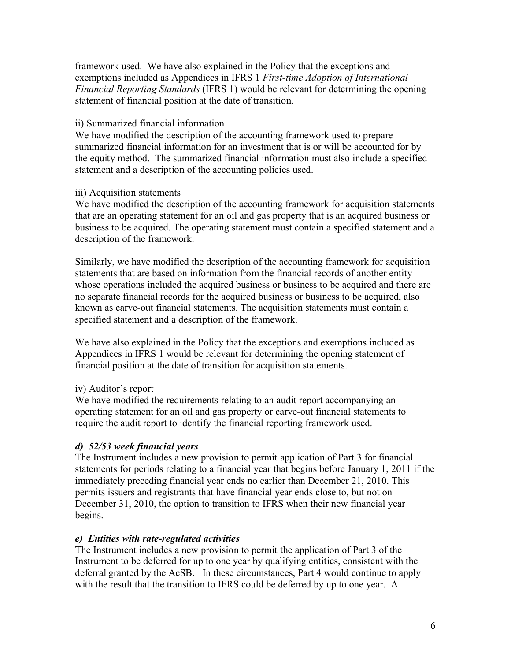framework used. We have also explained in the Policy that the exceptions and exemptions included as Appendices in IFRS 1 *First-time Adoption of International Financial Reporting Standards* (IFRS 1) would be relevant for determining the opening statement of financial position at the date of transition.

## ii) Summarized financial information

We have modified the description of the accounting framework used to prepare summarized financial information for an investment that is or will be accounted for by the equity method. The summarized financial information must also include a specified statement and a description of the accounting policies used.

## iii) Acquisition statements

We have modified the description of the accounting framework for acquisition statements that are an operating statement for an oil and gas property that is an acquired business or business to be acquired. The operating statement must contain a specified statement and a description of the framework.

Similarly, we have modified the description of the accounting framework for acquisition statements that are based on information from the financial records of another entity whose operations included the acquired business or business to be acquired and there are no separate financial records for the acquired business or business to be acquired, also known as carve-out financial statements. The acquisition statements must contain a specified statement and a description of the framework.

We have also explained in the Policy that the exceptions and exemptions included as Appendices in IFRS 1 would be relevant for determining the opening statement of financial position at the date of transition for acquisition statements.

## iv) Auditor's report

We have modified the requirements relating to an audit report accompanying an operating statement for an oil and gas property or carve-out financial statements to require the audit report to identify the financial reporting framework used.

# *d) 52/53 week financial years*

The Instrument includes a new provision to permit application of Part 3 for financial statements for periods relating to a financial year that begins before January 1, 2011 if the immediately preceding financial year ends no earlier than December 21, 2010. This permits issuers and registrants that have financial year ends close to, but not on December 31, 2010, the option to transition to IFRS when their new financial year begins.

## *e) Entities with rate-regulated activities*

The Instrument includes a new provision to permit the application of Part 3 of the Instrument to be deferred for up to one year by qualifying entities, consistent with the deferral granted by the AcSB. In these circumstances, Part 4 would continue to apply with the result that the transition to IFRS could be deferred by up to one year. A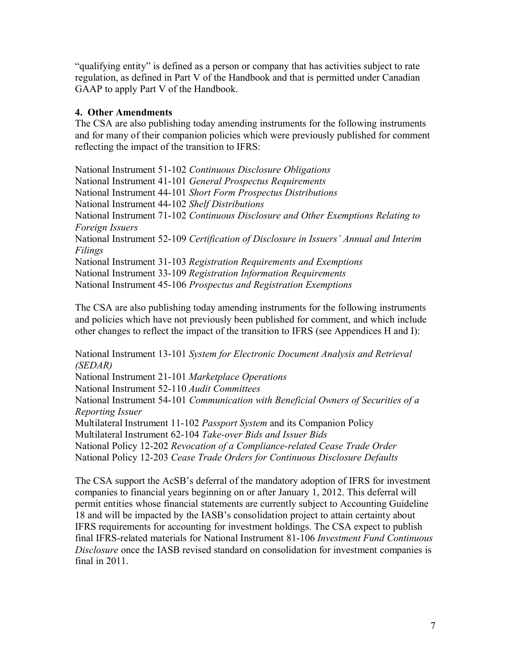"qualifying entity" is defined as a person or company that has activities subject to rate regulation, as defined in Part V of the Handbook and that is permitted under Canadian GAAP to apply Part V of the Handbook.

## **4. Other Amendments**

The CSA are also publishing today amending instruments for the following instruments and for many of their companion policies which were previously published for comment reflecting the impact of the transition to IFRS:

National Instrument 51-102 *Continuous Disclosure Obligations* National Instrument 41-101 *General Prospectus Requirements* National Instrument 44-101 *Short Form Prospectus Distributions* National Instrument 44-102 *Shelf Distributions* National Instrument 71-102 *Continuous Disclosure and Other Exemptions Relating to Foreign Issuers* National Instrument 52-109 *Certification of Disclosure in Issuers' Annual and Interim Filings* National Instrument 31-103 *Registration Requirements and Exemptions* National Instrument 33-109 *Registration Information Requirements*  National Instrument 45-106 *Prospectus and Registration Exemptions*

The CSA are also publishing today amending instruments for the following instruments and policies which have not previously been published for comment, and which include other changes to reflect the impact of the transition to IFRS (see Appendices H and I):

National Instrument 13-101 *System for Electronic Document Analysis and Retrieval (SEDAR)* National Instrument 21-101 *Marketplace Operations* National Instrument 52-110 *Audit Committees* National Instrument 54-101 *Communication with Beneficial Owners of Securities of a Reporting Issuer* Multilateral Instrument 11-102 *Passport System* and its Companion Policy Multilateral Instrument 62-104 *Take-over Bids and Issuer Bids* National Policy 12-202 *Revocation of a Compliance-related Cease Trade Order* National Policy 12-203 *Cease Trade Orders for Continuous Disclosure Defaults*

The CSA support the AcSB's deferral of the mandatory adoption of IFRS for investment companies to financial years beginning on or after January 1, 2012. This deferral will permit entities whose financial statements are currently subject to Accounting Guideline 18 and will be impacted by the IASB's consolidation project to attain certainty about IFRS requirements for accounting for investment holdings. The CSA expect to publish final IFRS-related materials for National Instrument 81-106 *Investment Fund Continuous Disclosure* once the IASB revised standard on consolidation for investment companies is final in 2011.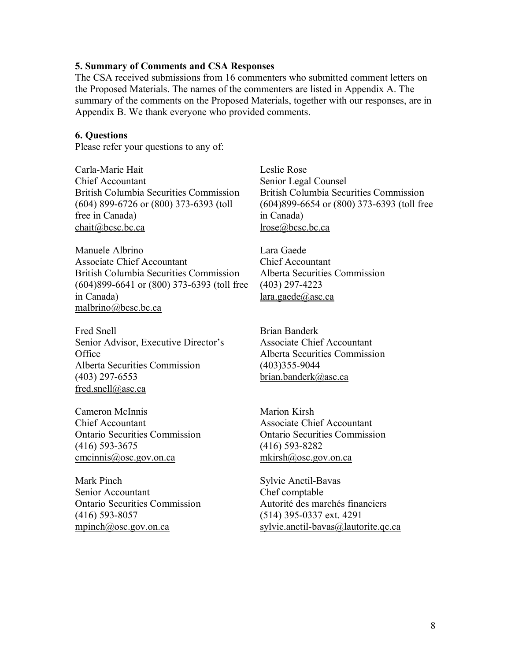#### **5. Summary of Comments and CSA Responses**

The CSA received submissions from 16 commenters who submitted comment letters on the Proposed Materials. The names of the commenters are listed in Appendix A. The summary of the comments on the Proposed Materials, together with our responses, are in Appendix B. We thank everyone who provided comments.

#### **6. Questions**

Please refer your questions to any of:

Carla-Marie Hait Chief Accountant British Columbia Securities Commission (604) 899-6726 or (800) 373-6393 (toll free in Canada) chait@bcsc.bc.ca

Manuele Albrino Associate Chief Accountant British Columbia Securities Commission (604)899-6641 or (800) 373-6393 (toll free in Canada) malbrino@bcsc.bc.ca

Fred Snell Senior Advisor, Executive Director's **Office** Alberta Securities Commission (403) 297-6553 fred.snell@asc.ca

Cameron McInnis Chief Accountant Ontario Securities Commission (416) 593-3675 cmcinnis@osc.gov.on.ca

Mark Pinch Senior Accountant Ontario Securities Commission (416) 593-8057 mpinch@osc.gov.on.ca

Leslie Rose Senior Legal Counsel British Columbia Securities Commission (604)899-6654 or (800) 373-6393 (toll free in Canada) lrose@bcsc.bc.ca

Lara Gaede Chief Accountant Alberta Securities Commission (403) 297-4223 lara.gaede@asc.ca

Brian Banderk Associate Chief Accountant Alberta Securities Commission (403)355-9044 brian.banderk@asc.ca

Marion Kirsh Associate Chief Accountant Ontario Securities Commission (416) 593-8282 mkirsh@osc.gov.on.ca

Sylvie Anctil-Bavas Chef comptable Autorité des marchés financiers (514) 395-0337 ext. 4291 sylvie.anctil-bavas@lautorite.qc.ca